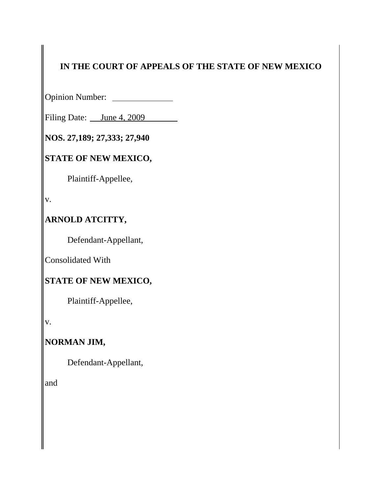## **IN THE COURT OF APPEALS OF THE STATE OF NEW MEXICO**

Opinion Number:

Filing Date: <u>June 4, 2009</u>

**NOS. 27,189; 27,333; 27,940**

## **STATE OF NEW MEXICO,**

Plaintiff-Appellee,

v.

### **ARNOLD ATCITTY,**

Defendant-Appellant,

Consolidated With

### **STATE OF NEW MEXICO,**

Plaintiff-Appellee,

v.

## **NORMAN JIM,**

Defendant-Appellant,

and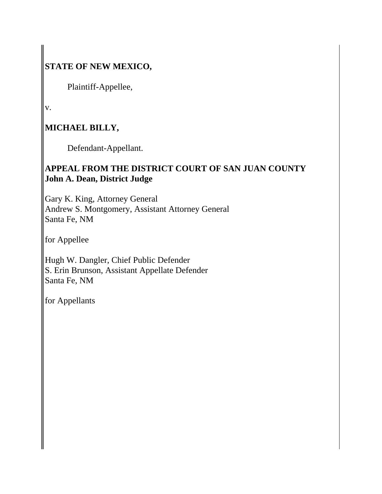## **STATE OF NEW MEXICO,**

Plaintiff-Appellee,

v.

## **MICHAEL BILLY,**

Defendant-Appellant.

### **APPEAL FROM THE DISTRICT COURT OF SAN JUAN COUNTY John A. Dean, District Judge**

Gary K. King, Attorney General Andrew S. Montgomery, Assistant Attorney General Santa Fe, NM

for Appellee

Hugh W. Dangler, Chief Public Defender S. Erin Brunson, Assistant Appellate Defender Santa Fe, NM

for Appellants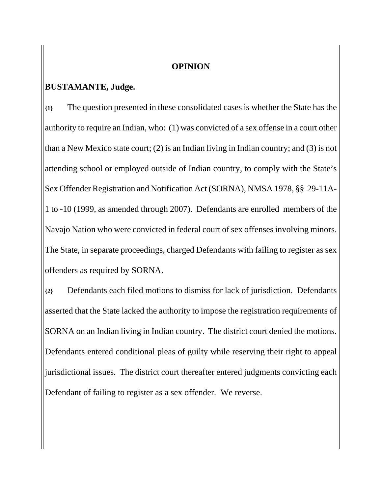#### **OPINION**

#### **BUSTAMANTE, Judge.**

**{1}** The question presented in these consolidated cases is whether the State has the authority to require an Indian, who: (1) was convicted of a sex offense in a court other than a New Mexico state court; (2) is an Indian living in Indian country; and (3) is not attending school or employed outside of Indian country, to comply with the State's Sex Offender Registration and Notification Act (SORNA), NMSA 1978, §§ 29-11A-1 to -10 (1999, as amended through 2007). Defendants are enrolled members of the Navajo Nation who were convicted in federal court of sex offenses involving minors. The State, in separate proceedings, charged Defendants with failing to register as sex offenders as required by SORNA.

**{2}** Defendants each filed motions to dismiss for lack of jurisdiction. Defendants asserted that the State lacked the authority to impose the registration requirements of SORNA on an Indian living in Indian country. The district court denied the motions. Defendants entered conditional pleas of guilty while reserving their right to appeal jurisdictional issues. The district court thereafter entered judgments convicting each Defendant of failing to register as a sex offender. We reverse.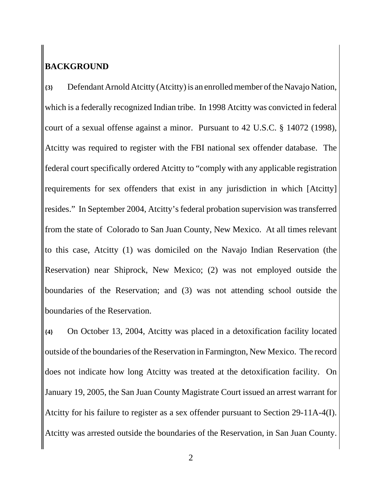## **BACKGROUND**

**{3}** Defendant Arnold Atcitty (Atcitty) is an enrolled member of the Navajo Nation, which is a federally recognized Indian tribe. In 1998 Atcitty was convicted in federal court of a sexual offense against a minor. Pursuant to 42 U.S.C. § 14072 (1998), Atcitty was required to register with the FBI national sex offender database. The federal court specifically ordered Atcitty to "comply with any applicable registration requirements for sex offenders that exist in any jurisdiction in which [Atcitty] resides." In September 2004, Atcitty's federal probation supervision was transferred from the state of Colorado to San Juan County, New Mexico. At all times relevant to this case, Atcitty (1) was domiciled on the Navajo Indian Reservation (the Reservation) near Shiprock, New Mexico; (2) was not employed outside the boundaries of the Reservation; and (3) was not attending school outside the boundaries of the Reservation.

**{4}** On October 13, 2004, Atcitty was placed in a detoxification facility located outside of the boundaries of the Reservation in Farmington, New Mexico. The record does not indicate how long Atcitty was treated at the detoxification facility. On January 19, 2005, the San Juan County Magistrate Court issued an arrest warrant for Atcitty for his failure to register as a sex offender pursuant to Section 29-11A-4(I). Atcitty was arrested outside the boundaries of the Reservation, in San Juan County.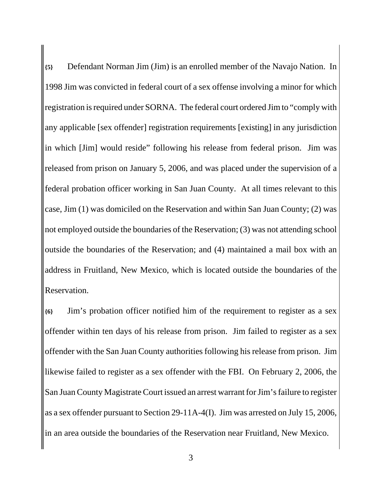**{5}** Defendant Norman Jim (Jim) is an enrolled member of the Navajo Nation. In 1998 Jim was convicted in federal court of a sex offense involving a minor for which registration is required under SORNA. The federal court ordered Jim to "comply with any applicable [sex offender] registration requirements [existing] in any jurisdiction in which [Jim] would reside" following his release from federal prison. Jim was released from prison on January 5, 2006, and was placed under the supervision of a federal probation officer working in San Juan County. At all times relevant to this case, Jim (1) was domiciled on the Reservation and within San Juan County; (2) was not employed outside the boundaries of the Reservation; (3) was not attending school outside the boundaries of the Reservation; and (4) maintained a mail box with an address in Fruitland, New Mexico, which is located outside the boundaries of the Reservation.

**{6}** Jim's probation officer notified him of the requirement to register as a sex offender within ten days of his release from prison. Jim failed to register as a sex offender with the San Juan County authorities following his release from prison. Jim likewise failed to register as a sex offender with the FBI. On February 2, 2006, the San Juan County Magistrate Court issued an arrest warrant for Jim's failure to register as a sex offender pursuant to Section 29-11A-4(I). Jim was arrested on July 15, 2006, in an area outside the boundaries of the Reservation near Fruitland, New Mexico.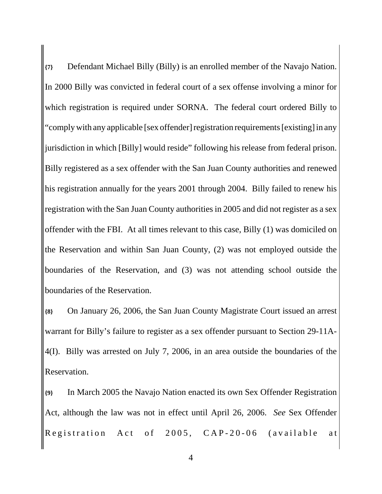**{7}** Defendant Michael Billy (Billy) is an enrolled member of the Navajo Nation. In 2000 Billy was convicted in federal court of a sex offense involving a minor for which registration is required under SORNA. The federal court ordered Billy to "comply with any applicable [sex offender] registration requirements [existing] in any jurisdiction in which [Billy] would reside" following his release from federal prison. Billy registered as a sex offender with the San Juan County authorities and renewed his registration annually for the years 2001 through 2004. Billy failed to renew his registration with the San Juan County authorities in 2005 and did not register as a sex offender with the FBI. At all times relevant to this case, Billy (1) was domiciled on the Reservation and within San Juan County, (2) was not employed outside the boundaries of the Reservation, and (3) was not attending school outside the boundaries of the Reservation.

**{8}** On January 26, 2006, the San Juan County Magistrate Court issued an arrest warrant for Billy's failure to register as a sex offender pursuant to Section 29-11A-4(I). Billy was arrested on July 7, 2006, in an area outside the boundaries of the Reservation.

**{9}** In March 2005 the Navajo Nation enacted its own Sex Offender Registration Act, although the law was not in effect until April 26, 2006. *See* Sex Offender Registration Act of 2005, CAP-20-06 (available at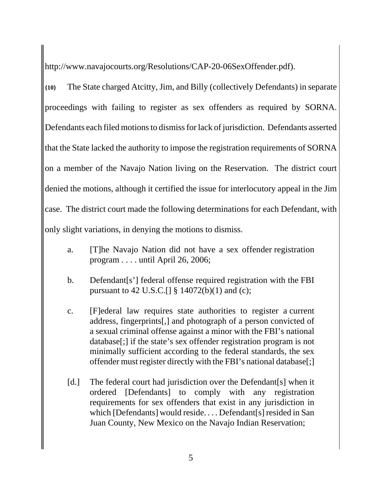http://www.navajocourts.org/Resolutions/CAP-20-06SexOffender.pdf).

**{10}** The State charged Atcitty, Jim, and Billy (collectively Defendants) in separate proceedings with failing to register as sex offenders as required by SORNA. Defendants each filed motions to dismiss for lack of jurisdiction. Defendants asserted that the State lacked the authority to impose the registration requirements of SORNA on a member of the Navajo Nation living on the Reservation. The district court denied the motions, although it certified the issue for interlocutory appeal in the Jim case. The district court made the following determinations for each Defendant, with only slight variations, in denying the motions to dismiss.

- a. [T]he Navajo Nation did not have a sex offender registration program . . . . until April 26, 2006;
- b. Defendant[s'] federal offense required registration with the FBI pursuant to 42 U.S.C.  $\left[ \right] \S 14072(b)(1)$  and (c);
- c. [F]ederal law requires state authorities to register a current address, fingerprints[,] and photograph of a person convicted of a sexual criminal offense against a minor with the FBI's national database[;] if the state's sex offender registration program is not minimally sufficient according to the federal standards, the sex offender must register directly with the FBI's national database[;]
- [d.] The federal court had jurisdiction over the Defendant[s] when it ordered [Defendants] to comply with any registration requirements for sex offenders that exist in any jurisdiction in which [Defendants] would reside. . . . Defendant[s] resided in San Juan County, New Mexico on the Navajo Indian Reservation;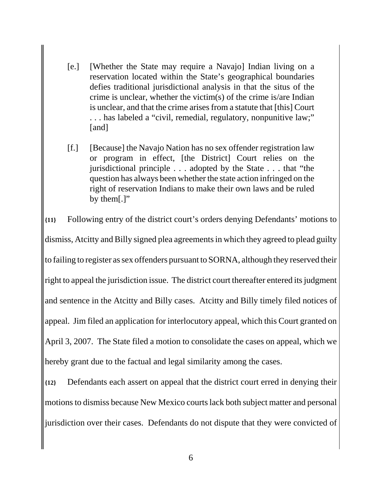- [e.] [Whether the State may require a Navajo] Indian living on a reservation located within the State's geographical boundaries defies traditional jurisdictional analysis in that the situs of the crime is unclear, whether the victim(s) of the crime is/are Indian is unclear, and that the crime arises from a statute that [this] Court . . . has labeled a "civil, remedial, regulatory, nonpunitive law;" [and]
- [f.] [Because] the Navajo Nation has no sex offender registration law or program in effect, [the District] Court relies on the jurisdictional principle . . . adopted by the State . . . that "the question has always been whether the state action infringed on the right of reservation Indians to make their own laws and be ruled by them[.]"

**{11}** Following entry of the district court's orders denying Defendants' motions to dismiss, Atcitty and Billy signed plea agreements in which they agreed to plead guilty to failing to register as sex offenders pursuant to SORNA, although they reserved their right to appeal the jurisdiction issue. The district court thereafter entered its judgment and sentence in the Atcitty and Billy cases. Atcitty and Billy timely filed notices of appeal. Jim filed an application for interlocutory appeal, which this Court granted on April 3, 2007. The State filed a motion to consolidate the cases on appeal, which we hereby grant due to the factual and legal similarity among the cases.

**{12}** Defendants each assert on appeal that the district court erred in denying their motions to dismiss because New Mexico courts lack both subject matter and personal jurisdiction over their cases. Defendants do not dispute that they were convicted of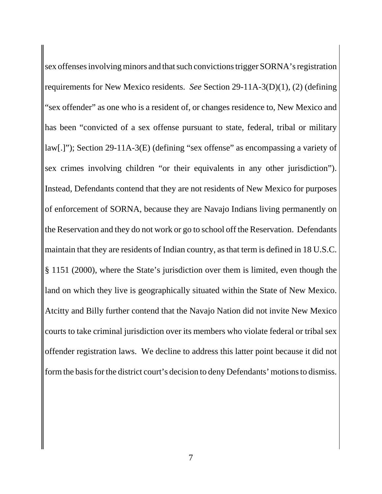sex offenses involving minors and that such convictions trigger SORNA's registration requirements for New Mexico residents. *See* Section 29-11A-3(D)(1), (2) (defining "sex offender" as one who is a resident of, or changes residence to, New Mexico and has been "convicted of a sex offense pursuant to state, federal, tribal or military law[.]"); Section 29-11A-3(E) (defining "sex offense" as encompassing a variety of sex crimes involving children "or their equivalents in any other jurisdiction"). Instead, Defendants contend that they are not residents of New Mexico for purposes of enforcement of SORNA, because they are Navajo Indians living permanently on the Reservation and they do not work or go to school off the Reservation. Defendants maintain that they are residents of Indian country, as that term is defined in 18 U.S.C. § 1151 (2000), where the State's jurisdiction over them is limited, even though the land on which they live is geographically situated within the State of New Mexico. Atcitty and Billy further contend that the Navajo Nation did not invite New Mexico courts to take criminal jurisdiction over its members who violate federal or tribal sex offender registration laws. We decline to address this latter point because it did not form the basis for the district court's decision to deny Defendants' motions to dismiss.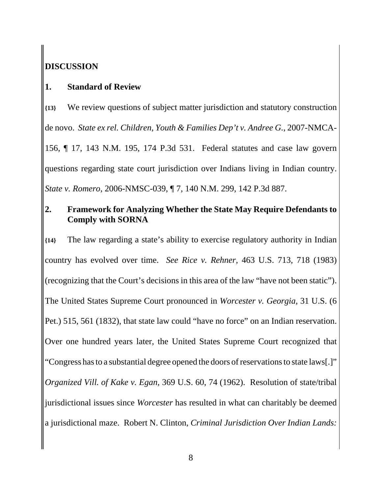## **DISCUSSION**

### **1. Standard of Review**

**{13}** We review questions of subject matter jurisdiction and statutory construction de novo. *State ex rel. Children, Youth & Families Dep't v. Andree G.*, 2007-NMCA-156, ¶ 17, 143 N.M. 195, 174 P.3d 531. Federal statutes and case law govern questions regarding state court jurisdiction over Indians living in Indian country. *State v. Romero*, 2006-NMSC-039, ¶ 7, 140 N.M. 299, 142 P.3d 887.

### **2. Framework for Analyzing Whether the State May Require Defendants to Comply with SORNA**

**{14}** The law regarding a state's ability to exercise regulatory authority in Indian country has evolved over time. *See Rice v. Rehner*, 463 U.S. 713, 718 (1983) (recognizing that the Court's decisions in this area of the law "have not been static"). The United States Supreme Court pronounced in *Worcester v. Georgia*, 31 U.S. (6 Pet.) 515, 561 (1832), that state law could "have no force" on an Indian reservation. Over one hundred years later, the United States Supreme Court recognized that "Congress has to a substantial degree opened the doors of reservations to state laws[.]" *Organized Vill. of Kake v. Egan*, 369 U.S. 60, 74 (1962). Resolution of state/tribal jurisdictional issues since *Worcester* has resulted in what can charitably be deemed a jurisdictional maze. Robert N. Clinton, *Criminal Jurisdiction Over Indian Lands:*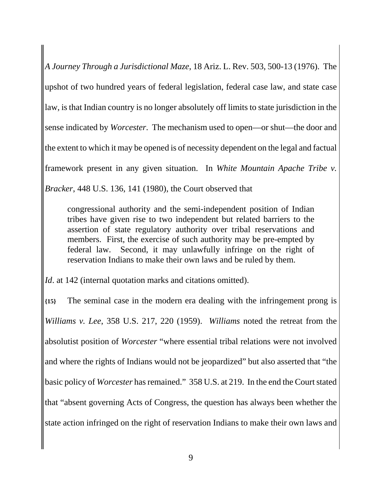*A Journey Through a Jurisdictional Maze*, 18 Ariz. L. Rev. 503, 500-13 (1976). The upshot of two hundred years of federal legislation, federal case law, and state case law, is that Indian country is no longer absolutely off limits to state jurisdiction in the sense indicated by *Worcester*. The mechanism used to open—or shut—the door and the extent to which it may be opened is of necessity dependent on the legal and factual framework present in any given situation. In *White Mountain Apache Tribe v. Bracker*, 448 U.S. 136, 141 (1980), the Court observed that

congressional authority and the semi-independent position of Indian tribes have given rise to two independent but related barriers to the assertion of state regulatory authority over tribal reservations and members. First, the exercise of such authority may be pre-empted by federal law. Second, it may unlawfully infringe on the right of reservation Indians to make their own laws and be ruled by them.

*Id.* at 142 (internal quotation marks and citations omitted).

**{15}** The seminal case in the modern era dealing with the infringement prong is *Williams v. Lee*, 358 U.S. 217, 220 (1959). *Williams* noted the retreat from the absolutist position of *Worcester* "where essential tribal relations were not involved and where the rights of Indians would not be jeopardized" but also asserted that "the basic policy of *Worcester* has remained." 358 U.S. at 219. In the end the Court stated that "absent governing Acts of Congress, the question has always been whether the state action infringed on the right of reservation Indians to make their own laws and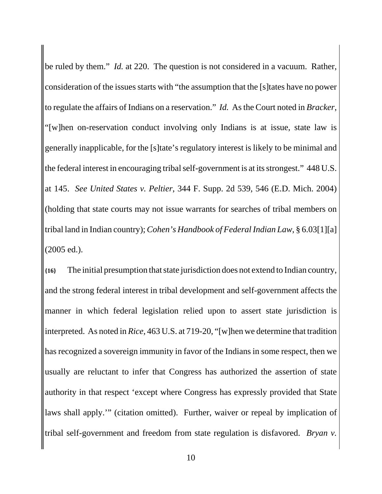be ruled by them." *Id.* at 220. The question is not considered in a vacuum. Rather, consideration of the issues starts with "the assumption that the [s]tates have no power to regulate the affairs of Indians on a reservation." *Id.* As the Court noted in *Bracker*, "[w]hen on-reservation conduct involving only Indians is at issue, state law is generally inapplicable, for the [s]tate's regulatory interest is likely to be minimal and the federal interest in encouraging tribal self-government is at its strongest." 448 U.S. at 145. *See United States v. Peltier*, 344 F. Supp. 2d 539, 546 (E.D. Mich. 2004) (holding that state courts may not issue warrants for searches of tribal members on tribal land in Indian country); *Cohen's Handbook of Federal Indian Law*, § 6.03[1][a] (2005 ed.).

**{16}** The initial presumption that state jurisdiction does not extend to Indian country, and the strong federal interest in tribal development and self-government affects the manner in which federal legislation relied upon to assert state jurisdiction is interpreted. As noted in *Rice*, 463 U.S. at 719-20, "[w]hen we determine that tradition has recognized a sovereign immunity in favor of the Indians in some respect, then we usually are reluctant to infer that Congress has authorized the assertion of state authority in that respect 'except where Congress has expressly provided that State laws shall apply.'" (citation omitted). Further, waiver or repeal by implication of tribal self-government and freedom from state regulation is disfavored. *Bryan v.*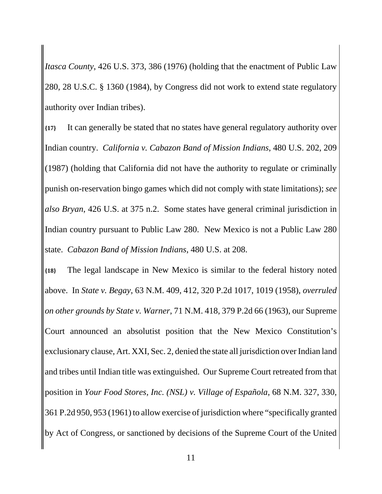*Itasca County*, 426 U.S. 373, 386 (1976) (holding that the enactment of Public Law 280, 28 U.S.C. § 1360 (1984), by Congress did not work to extend state regulatory authority over Indian tribes).

**{17}** It can generally be stated that no states have general regulatory authority over Indian country. *California v. Cabazon Band of Mission Indians*, 480 U.S. 202, 209 (1987) (holding that California did not have the authority to regulate or criminally punish on-reservation bingo games which did not comply with state limitations); *see also Bryan*, 426 U.S. at 375 n.2. Some states have general criminal jurisdiction in Indian country pursuant to Public Law 280. New Mexico is not a Public Law 280 state. *Cabazon Band of Mission Indians*, 480 U.S. at 208.

**{18}** The legal landscape in New Mexico is similar to the federal history noted above. In *State v. Begay*, 63 N.M. 409, 412, 320 P.2d 1017, 1019 (1958), *overruled on other grounds by State v. Warner*, 71 N.M. 418, 379 P.2d 66 (1963), our Supreme Court announced an absolutist position that the New Mexico Constitution's exclusionary clause, Art. XXI, Sec. 2, denied the state all jurisdiction over Indian land and tribes until Indian title was extinguished. Our Supreme Court retreated from that position in *Your Food Stores, Inc. (NSL) v. Village of Española*, 68 N.M. 327, 330, 361 P.2d 950, 953 (1961) to allow exercise of jurisdiction where "specifically granted by Act of Congress, or sanctioned by decisions of the Supreme Court of the United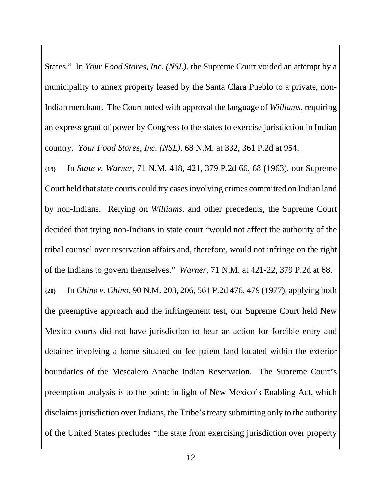States." In *Your Food Stores, Inc. (NSL)*, the Supreme Court voided an attempt by a municipality to annex property leased by the Santa Clara Pueblo to a private, non-Indian merchant. The Court noted with approval the language of *Williams*, requiring an express grant of power by Congress to the states to exercise jurisdiction in Indian country. *Your Food Stores, Inc. (NSL)*, 68 N.M. at 332, 361 P.2d at 954.

**{19}** In *State v. Warner*, 71 N.M. 418, 421, 379 P.2d 66, 68 (1963), our Supreme Court held that state courts could try cases involving crimes committed on Indian land by non-Indians. Relying on *Williams*, and other precedents, the Supreme Court decided that trying non-Indians in state court "would not affect the authority of the tribal counsel over reservation affairs and, therefore, would not infringe on the right of the Indians to govern themselves." *Warner*, 71 N.M. at 421-22, 379 P.2d at 68. **{20}** In *Chino v. Chino*, 90 N.M. 203, 206, 561 P.2d 476, 479 (1977), applying both the preemptive approach and the infringement test, our Supreme Court held New Mexico courts did not have jurisdiction to hear an action for forcible entry and detainer involving a home situated on fee patent land located within the exterior boundaries of the Mescalero Apache Indian Reservation. The Supreme Court's preemption analysis is to the point: in light of New Mexico's Enabling Act, which disclaims jurisdiction over Indians, the Tribe's treaty submitting only to the authority of the United States precludes "the state from exercising jurisdiction over property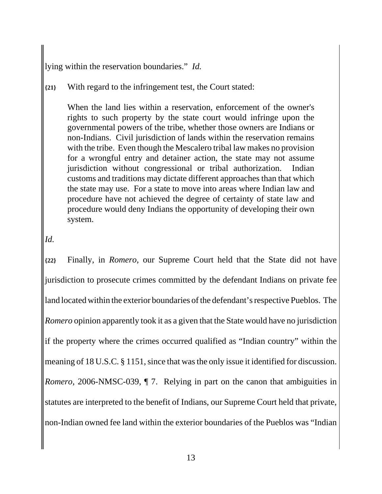lying within the reservation boundaries." *Id.*

#### **{21}** With regard to the infringement test, the Court stated:

When the land lies within a reservation, enforcement of the owner's rights to such property by the state court would infringe upon the governmental powers of the tribe, whether those owners are Indians or non-Indians. Civil jurisdiction of lands within the reservation remains with the tribe. Even though the Mescalero tribal law makes no provision for a wrongful entry and detainer action, the state may not assume jurisdiction without congressional or tribal authorization. Indian customs and traditions may dictate different approaches than that which the state may use. For a state to move into areas where Indian law and procedure have not achieved the degree of certainty of state law and procedure would deny Indians the opportunity of developing their own system.

#### *Id.*

**{22}** Finally, in *Romero*, our Supreme Court held that the State did not have jurisdiction to prosecute crimes committed by the defendant Indians on private fee land located within the exterior boundaries of the defendant's respective Pueblos. The *Romero* opinion apparently took it as a given that the State would have no jurisdiction if the property where the crimes occurred qualified as "Indian country" within the meaning of 18 U.S.C. § 1151, since that was the only issue it identified for discussion. *Romero*, 2006-NMSC-039,  $\P$  7. Relying in part on the canon that ambiguities in statutes are interpreted to the benefit of Indians, our Supreme Court held that private, non-Indian owned fee land within the exterior boundaries of the Pueblos was "Indian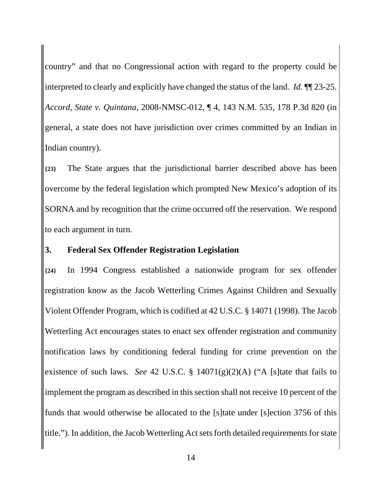country" and that no Congressional action with regard to the property could be interpreted to clearly and explicitly have changed the status of the land. *Id.* ¶¶ 23-25. *Accord*, *State v. Quintana*, 2008-NMSC-012, ¶ 4, 143 N.M. 535, 178 P.3d 820 (in general, a state does not have jurisdiction over crimes committed by an Indian in Indian country).

**{23}** The State argues that the jurisdictional barrier described above has been overcome by the federal legislation which prompted New Mexico's adoption of its SORNA and by recognition that the crime occurred off the reservation. We respond to each argument in turn.

#### **3. Federal Sex Offender Registration Legislation**

**{24}** In 1994 Congress established a nationwide program for sex offender registration know as the Jacob Wetterling Crimes Against Children and Sexually Violent Offender Program, which is codified at 42 U.S.C. § 14071 (1998). The Jacob Wetterling Act encourages states to enact sex offender registration and community notification laws by conditioning federal funding for crime prevention on the existence of such laws. *See* 42 U.S.C. § 14071(g)(2)(A) ("A [s]tate that fails to implement the program as described in this section shall not receive 10 percent of the funds that would otherwise be allocated to the [s]tate under [s]ection 3756 of this title."). In addition, the Jacob Wetterling Act sets forth detailed requirements for state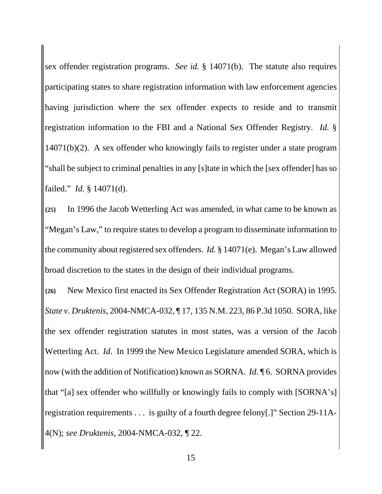sex offender registration programs. *See id.* § 14071(b). The statute also requires participating states to share registration information with law enforcement agencies having jurisdiction where the sex offender expects to reside and to transmit registration information to the FBI and a National Sex Offender Registry. *Id.* § 14071(b)(2). A sex offender who knowingly fails to register under a state program "shall be subject to criminal penalties in any [s]tate in which the [sex offender] has so failed." *Id.* § 14071(d).

**{25}** In 1996 the Jacob Wetterling Act was amended, in what came to be known as "Megan's Law," to require states to develop a program to disseminate information to the community about registered sex offenders. *Id.* § 14071(e). Megan's Law allowed broad discretion to the states in the design of their individual programs.

**{26}** New Mexico first enacted its Sex Offender Registration Act (SORA) in 1995. *State v. Druktenis*, 2004-NMCA-032, ¶ 17, 135 N.M. 223, 86 P.3d 1050. SORA, like the sex offender registration statutes in most states, was a version of the Jacob Wetterling Act. *Id*. In 1999 the New Mexico Legislature amended SORA, which is now (with the addition of Notification) known as SORNA. *Id*. ¶ 6. SORNA provides that "[a] sex offender who willfully or knowingly fails to comply with [SORNA's] registration requirements . . . is guilty of a fourth degree felony[.]" Section 29-11A-4(N); *see Druktenis*, 2004-NMCA-032, ¶ 22.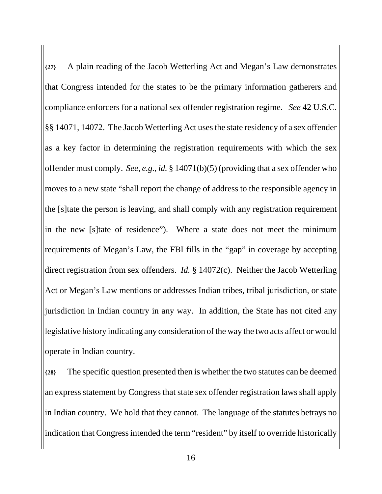**{27}** A plain reading of the Jacob Wetterling Act and Megan's Law demonstrates that Congress intended for the states to be the primary information gatherers and compliance enforcers for a national sex offender registration regime. *See* 42 U.S.C. §§ 14071, 14072. The Jacob Wetterling Act uses the state residency of a sex offender as a key factor in determining the registration requirements with which the sex offender must comply. *See, e.g.*, *id.* § 14071(b)(5) (providing that a sex offender who moves to a new state "shall report the change of address to the responsible agency in the [s]tate the person is leaving, and shall comply with any registration requirement in the new [s]tate of residence"). Where a state does not meet the minimum requirements of Megan's Law, the FBI fills in the "gap" in coverage by accepting direct registration from sex offenders. *Id.* § 14072(c). Neither the Jacob Wetterling Act or Megan's Law mentions or addresses Indian tribes, tribal jurisdiction, or state jurisdiction in Indian country in any way. In addition, the State has not cited any legislative history indicating any consideration of the way the two acts affect or would operate in Indian country.

**{28}** The specific question presented then is whether the two statutes can be deemed an express statement by Congress that state sex offender registration laws shall apply in Indian country. We hold that they cannot. The language of the statutes betrays no indication that Congress intended the term "resident" by itself to override historically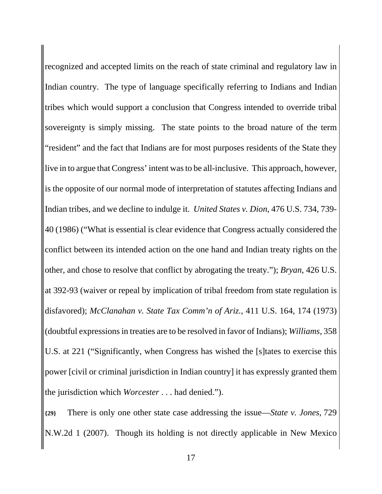recognized and accepted limits on the reach of state criminal and regulatory law in Indian country. The type of language specifically referring to Indians and Indian tribes which would support a conclusion that Congress intended to override tribal sovereignty is simply missing. The state points to the broad nature of the term "resident" and the fact that Indians are for most purposes residents of the State they live in to argue that Congress' intent was to be all-inclusive. This approach, however, is the opposite of our normal mode of interpretation of statutes affecting Indians and Indian tribes, and we decline to indulge it. *United States v. Dion*, 476 U.S. 734, 739- 40 (1986) ("What is essential is clear evidence that Congress actually considered the conflict between its intended action on the one hand and Indian treaty rights on the other, and chose to resolve that conflict by abrogating the treaty."); *Bryan*, 426 U.S. at 392-93 (waiver or repeal by implication of tribal freedom from state regulation is disfavored); *McClanahan v. State Tax Comm'n of Ariz.*, 411 U.S. 164, 174 (1973) (doubtful expressions in treaties are to be resolved in favor of Indians); *Williams*, 358 U.S. at 221 ("Significantly, when Congress has wished the [s]tates to exercise this power [civil or criminal jurisdiction in Indian country] it has expressly granted them the jurisdiction which *Worcester* . . . had denied.").

**{29}** There is only one other state case addressing the issue—*State v. Jones*, 729 N.W.2d 1 (2007). Though its holding is not directly applicable in New Mexico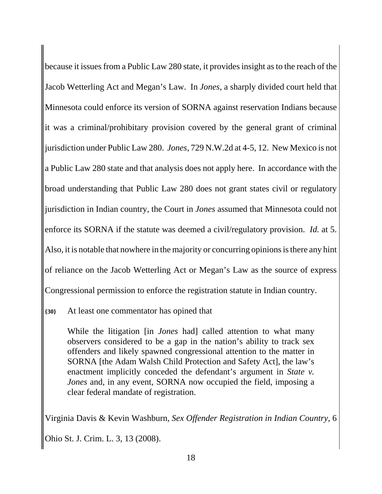because it issues from a Public Law 280 state, it provides insight as to the reach of the Jacob Wetterling Act and Megan's Law. In *Jones*, a sharply divided court held that Minnesota could enforce its version of SORNA against reservation Indians because it was a criminal/prohibitary provision covered by the general grant of criminal jurisdiction under Public Law 280. *Jones*, 729 N.W.2d at 4-5, 12. New Mexico is not a Public Law 280 state and that analysis does not apply here. In accordance with the broad understanding that Public Law 280 does not grant states civil or regulatory jurisdiction in Indian country, the Court in *Jones* assumed that Minnesota could not enforce its SORNA if the statute was deemed a civil/regulatory provision. *Id.* at 5. Also, it is notable that nowhere in the majority or concurring opinions is there any hint of reliance on the Jacob Wetterling Act or Megan's Law as the source of express Congressional permission to enforce the registration statute in Indian country.

**{30}** At least one commentator has opined that

While the litigation [in *Jones* had] called attention to what many observers considered to be a gap in the nation's ability to track sex offenders and likely spawned congressional attention to the matter in SORNA [the Adam Walsh Child Protection and Safety Act], the law's enactment implicitly conceded the defendant's argument in *State v. Jones* and, in any event, SORNA now occupied the field, imposing a clear federal mandate of registration.

Virginia Davis & Kevin Washburn, *Sex Offender Registration in Indian Country*, 6 Ohio St. J. Crim. L. 3, 13 (2008).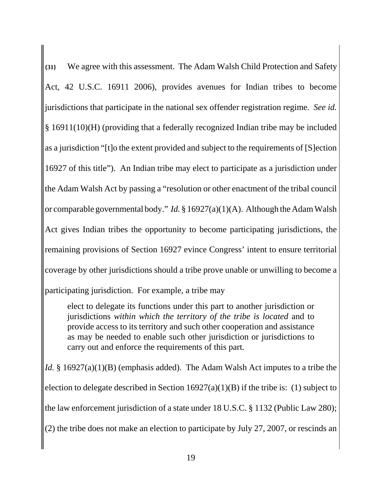**{31}** We agree with this assessment. The Adam Walsh Child Protection and Safety Act, 42 U.S.C. 16911 2006), provides avenues for Indian tribes to become jurisdictions that participate in the national sex offender registration regime. *See id.* § 16911(10)(H) (providing that a federally recognized Indian tribe may be included as a jurisdiction "[t]o the extent provided and subject to the requirements of [S]ection 16927 of this title"). An Indian tribe may elect to participate as a jurisdiction under the Adam Walsh Act by passing a "resolution or other enactment of the tribal council or comparable governmental body." *Id.* § 16927(a)(1)(A). Although the Adam Walsh Act gives Indian tribes the opportunity to become participating jurisdictions, the remaining provisions of Section 16927 evince Congress' intent to ensure territorial coverage by other jurisdictions should a tribe prove unable or unwilling to become a participating jurisdiction. For example, a tribe may

elect to delegate its functions under this part to another jurisdiction or jurisdictions *within which the territory of the tribe is located* and to

provide access to its territory and such other cooperation and assistance as may be needed to enable such other jurisdiction or jurisdictions to carry out and enforce the requirements of this part.

*Id.* § 16927(a)(1)(B) (emphasis added). The Adam Walsh Act imputes to a tribe the election to delegate described in Section  $16927(a)(1)(B)$  if the tribe is: (1) subject to the law enforcement jurisdiction of a state under 18 U.S.C. § 1132 (Public Law 280); (2) the tribe does not make an election to participate by July 27, 2007, or rescinds an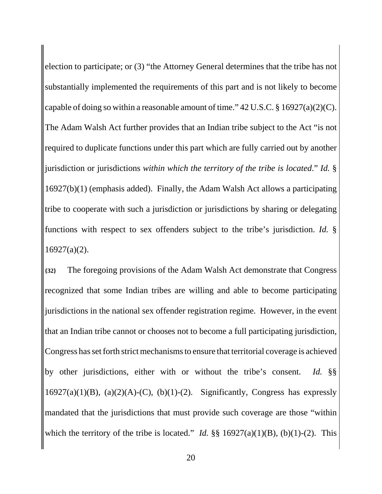election to participate; or (3) "the Attorney General determines that the tribe has not substantially implemented the requirements of this part and is not likely to become capable of doing so within a reasonable amount of time."  $42 \text{ U.S.C.}$  \$  $16927(a)(2)(\text{C}).$ The Adam Walsh Act further provides that an Indian tribe subject to the Act "is not required to duplicate functions under this part which are fully carried out by another jurisdiction or jurisdictions *within which the territory of the tribe is located*." *Id.* § 16927(b)(1) (emphasis added). Finally, the Adam Walsh Act allows a participating tribe to cooperate with such a jurisdiction or jurisdictions by sharing or delegating functions with respect to sex offenders subject to the tribe's jurisdiction. *Id.* § 16927(a)(2).

**{32}** The foregoing provisions of the Adam Walsh Act demonstrate that Congress recognized that some Indian tribes are willing and able to become participating jurisdictions in the national sex offender registration regime. However, in the event that an Indian tribe cannot or chooses not to become a full participating jurisdiction, Congress has set forth strict mechanisms to ensure that territorial coverage is achieved by other jurisdictions, either with or without the tribe's consent. *Id.* §§ 16927(a)(1)(B), (a)(2)(A)-(C), (b)(1)-(2). Significantly, Congress has expressly mandated that the jurisdictions that must provide such coverage are those "within which the territory of the tribe is located." *Id.*  $\S\S 16927(a)(1)(B)$ , (b)(1)-(2). This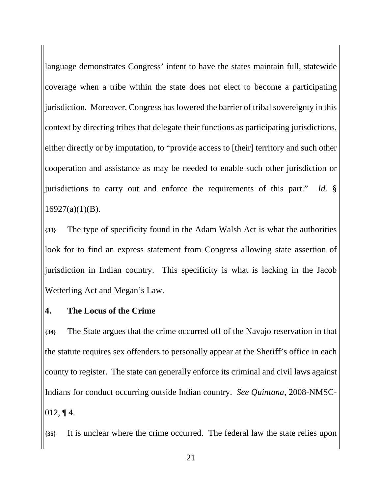language demonstrates Congress' intent to have the states maintain full, statewide coverage when a tribe within the state does not elect to become a participating jurisdiction. Moreover, Congress has lowered the barrier of tribal sovereignty in this context by directing tribes that delegate their functions as participating jurisdictions, either directly or by imputation, to "provide access to [their] territory and such other cooperation and assistance as may be needed to enable such other jurisdiction or jurisdictions to carry out and enforce the requirements of this part." *Id.* §  $16927(a)(1)(B)$ .

**{33}** The type of specificity found in the Adam Walsh Act is what the authorities look for to find an express statement from Congress allowing state assertion of jurisdiction in Indian country. This specificity is what is lacking in the Jacob Wetterling Act and Megan's Law.

#### **4. The Locus of the Crime**

**{34}** The State argues that the crime occurred off of the Navajo reservation in that the statute requires sex offenders to personally appear at the Sheriff's office in each county to register. The state can generally enforce its criminal and civil laws against Indians for conduct occurring outside Indian country. *See Quintana*, 2008-NMSC-012, ¶ 4.

**{35}** It is unclear where the crime occurred. The federal law the state relies upon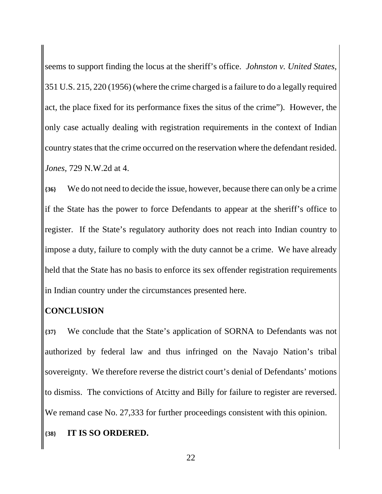seems to support finding the locus at the sheriff's office. *Johnston v. United States*, 351 U.S. 215, 220 (1956) (where the crime charged is a failure to do a legally required act, the place fixed for its performance fixes the situs of the crime"). However, the only case actually dealing with registration requirements in the context of Indian country states that the crime occurred on the reservation where the defendant resided. *Jones*, 729 N.W.2d at 4.

**{36}** We do not need to decide the issue, however, because there can only be a crime if the State has the power to force Defendants to appear at the sheriff's office to register. If the State's regulatory authority does not reach into Indian country to impose a duty, failure to comply with the duty cannot be a crime. We have already held that the State has no basis to enforce its sex offender registration requirements in Indian country under the circumstances presented here.

### **CONCLUSION**

**{37}** We conclude that the State's application of SORNA to Defendants was not authorized by federal law and thus infringed on the Navajo Nation's tribal sovereignty. We therefore reverse the district court's denial of Defendants' motions to dismiss. The convictions of Atcitty and Billy for failure to register are reversed. We remand case No. 27,333 for further proceedings consistent with this opinion.

#### **{38} IT IS SO ORDERED.**